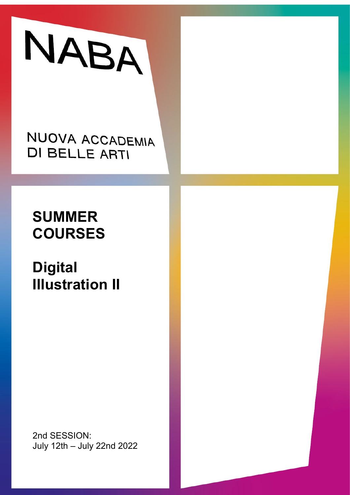

## NUOVA ACCADEMIA **DI BELLE ARTI**

# **SUMMER COURSES**

# **Digital Illustration II**

2nd SESSION: July 12th – July 22nd 2022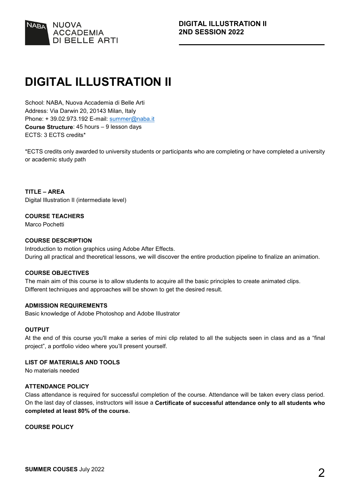

### **DIGITAL ILLUSTRATION II**

School: NABA, Nuova Accademia di Belle Arti Address: Via Darwin 20, 20143 Milan, Italy Phone: +39.02.973.192 E-mail: [summer@naba.it](mailto:summer@naba.it) **Course Structure**: 45 hours – 9 lesson days ECTS: 3 ECTS credits\*

\*ECTS credits only awarded to university students or participants who are completing or have completed a university or academic study path

**TITLE – AREA** Digital Illustration II (intermediate level)

#### **COURSE TEACHERS**

Marco Pochetti

#### **COURSE DESCRIPTION**

Introduction to motion graphics using Adobe After Effects. During all practical and theoretical lessons, we will discover the entire production pipeline to finalize an animation.

#### **COURSE OBJECTIVES**

The main aim of this course is to allow students to acquire all the basic principles to create animated clips. Different techniques and approaches will be shown to get the desired result.

#### **ADMISSION REQUIREMENTS**

Basic knowledge of Adobe Photoshop and Adobe Illustrator

#### **OUTPUT**

At the end of this course you'll make a series of mini clip related to all the subjects seen in class and as a "final project", a portfolio video where you'll present yourself.

**LIST OF MATERIALS AND TOOLS** 

No materials needed

#### **ATTENDANCE POLICY**

Class attendance is required for successful completion of the course. Attendance will be taken every class period. On the last day of classes, instructors will issue a **Certificate of successful attendance only to all students who completed at least 80% of the course.**

**COURSE POLICY**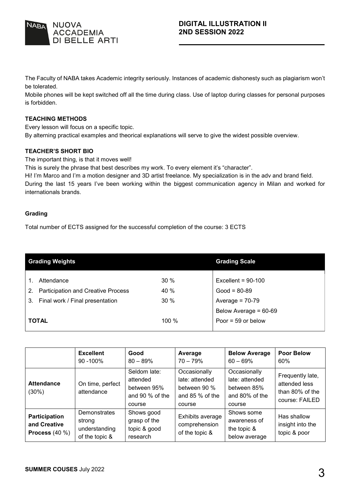

The Faculty of NABA takes Academic integrity seriously. Instances of academic dishonesty such as plagiarism won't be tolerated.

Mobile phones will be kept switched off all the time during class. Use of laptop during classes for personal purposes is forbidden.

#### **TEACHING METHODS**

Every lesson will focus on a specific topic. By alterning practical examples and theorical explanations will serve to give the widest possible overview.

#### **TEACHER'S SHORT BIO**

The important thing, is that it moves well!

This is surely the phrase that best describes my work. To every element it's "character".

Hi! I'm Marco and I'm a motion designer and 3D artist freelance. My specialization is in the adv and brand field. During the last 15 years I've been working within the biggest communication agency in Milan and worked for internationals brands.

#### **Grading**

Total number of ECTS assigned for the successful completion of the course: 3 ECTS

|              | <b>Grading Weights</b>                    | <b>Grading Scale</b> |                       |
|--------------|-------------------------------------------|----------------------|-----------------------|
|              |                                           |                      |                       |
|              | Attendance                                | 30%                  | Excellent = $90-100$  |
| 2.           | <b>Participation and Creative Process</b> | 40 %                 | $Good = 80-89$        |
|              | 3. Final work / Final presentation        | 30%                  | Average = $70-79$     |
|              |                                           |                      | Below Average = 60-69 |
| <b>TOTAL</b> |                                           | 100 %                | Poor = $59$ or below  |
|              |                                           |                      |                       |

|                                                   | <b>Excellent</b><br>$90 - 100\%$                          | Good<br>$80 - 89%$                                                   | Average<br>$70 - 79%$                                                        | <b>Below Average</b><br>$60 - 69\%$                                       | <b>Poor Below</b><br>60%                                               |
|---------------------------------------------------|-----------------------------------------------------------|----------------------------------------------------------------------|------------------------------------------------------------------------------|---------------------------------------------------------------------------|------------------------------------------------------------------------|
| <b>Attendance</b><br>(30%)                        | On time, perfect<br>attendance                            | Seldom late:<br>attended<br>between 95%<br>and 90 % of the<br>course | Occasionally<br>late: attended<br>between 90 %<br>and $85%$ of the<br>course | Occasionally<br>late: attended<br>between 85%<br>and 80% of the<br>course | Frequently late,<br>attended less<br>than 80% of the<br>course: FAILED |
| Participation<br>and Creative<br>Process $(40 %)$ | Demonstrates<br>strong<br>understanding<br>of the topic & | Shows good<br>grasp of the<br>topic & good<br>research               | Exhibits average<br>comprehension<br>of the topic &                          | Shows some<br>awareness of<br>the topic &<br>below average                | Has shallow<br>insight into the<br>topic & poor                        |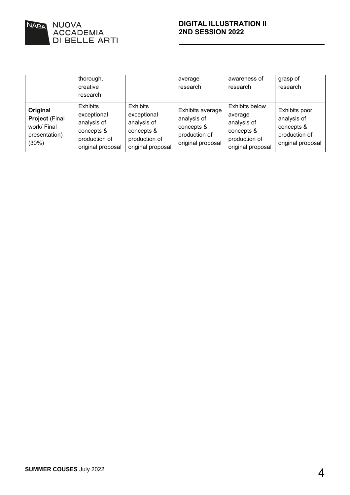

|                                                                            | thorough,<br>creative<br>research                                                                 |                                                                                                   | average<br>research                                                                 | awareness of<br>research                                                                            | grasp of<br>research                                                             |
|----------------------------------------------------------------------------|---------------------------------------------------------------------------------------------------|---------------------------------------------------------------------------------------------------|-------------------------------------------------------------------------------------|-----------------------------------------------------------------------------------------------------|----------------------------------------------------------------------------------|
| Original<br><b>Project (Final</b><br>work/ Final<br>presentation)<br>(30%) | <b>Exhibits</b><br>exceptional<br>analysis of<br>concepts &<br>production of<br>original proposal | <b>Exhibits</b><br>exceptional<br>analysis of<br>concepts &<br>production of<br>original proposal | Exhibits average<br>analysis of<br>concepts &<br>production of<br>original proposal | <b>Exhibits below</b><br>average<br>analysis of<br>concepts &<br>production of<br>original proposal | Exhibits poor<br>analysis of<br>concepts &<br>production of<br>original proposal |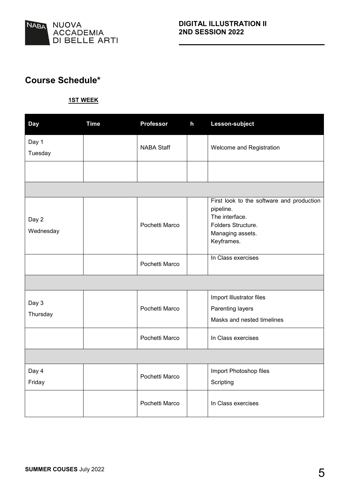

### **Course Schedule\***

#### **1ST WEEK**

| <b>Day</b>         | <b>Time</b> | <b>Professor</b>  | $\mathsf{h}$ | Lesson-subject                                                                                                                   |  |
|--------------------|-------------|-------------------|--------------|----------------------------------------------------------------------------------------------------------------------------------|--|
| Day 1<br>Tuesday   |             | <b>NABA Staff</b> |              | Welcome and Registration                                                                                                         |  |
|                    |             |                   |              |                                                                                                                                  |  |
|                    |             |                   |              |                                                                                                                                  |  |
| Day 2<br>Wednesday |             | Pochetti Marco    |              | First look to the software and production<br>pipeline.<br>The interface.<br>Folders Structure.<br>Managing assets.<br>Keyframes. |  |
|                    |             | Pochetti Marco    |              | In Class exercises                                                                                                               |  |
|                    |             |                   |              |                                                                                                                                  |  |
| Day 3<br>Thursday  |             | Pochetti Marco    |              | Import Illustrator files<br>Parenting layers<br>Masks and nested timelines                                                       |  |
|                    |             | Pochetti Marco    |              | In Class exercises                                                                                                               |  |
|                    |             |                   |              |                                                                                                                                  |  |
| Day 4<br>Friday    |             | Pochetti Marco    |              | Import Photoshop files<br>Scripting                                                                                              |  |
|                    |             | Pochetti Marco    |              | In Class exercises                                                                                                               |  |